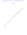Case 3:20-cv-01750-GPC-KSC Document 5-1 Filed 10/15/20 PageID.28 Page 1 of 24

EXHIBIT A

From article at GetOutOfDebt.org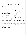| 1<br>2         |                                                                     | UNITED STATES DISTRICT COURT<br>SOUTHERN DISTRICT OF CALIFORNIA                          |
|----------------|---------------------------------------------------------------------|------------------------------------------------------------------------------------------|
| 3              | <b>Bureau of Consumer Financial</b>                                 | Case No.: 20CV1750-GPC-KSC                                                               |
| $\overline{4}$ | Protection,                                                         |                                                                                          |
| 5              | Plaintiff,                                                          | STIPULATED FINAL JUDGMENT AND                                                            |
| 6              | V.                                                                  | <b>ORDER</b>                                                                             |
| 7              | Encore Capital Group, Inc.; Midland<br>Funding, LLC; Midland Credit |                                                                                          |
| 8              | Management, Inc.; and Asset<br>Acceptance Capital Corp.,            |                                                                                          |
| 9              | Defendants.                                                         |                                                                                          |
| 10             |                                                                     |                                                                                          |
| 11             |                                                                     | Plaintiff, the Bureau of Consumer Financial Protection (Bureau) commenced this           |
| 12             |                                                                     | civil action on September 8, 2020, to obtain injunctive and monetary relief and civil    |
| 13             |                                                                     | penalties from Encore Capital Group, Inc. (Encore Capital); Midland Funding, LLC         |
| 14             |                                                                     | (Midland); Midland Credit Management, Inc. (MCM); and Asset Acceptance Capital           |
| 15             |                                                                     | Corp. (Asset). The complaint alleges violations of the Consumer Financial Protection Act |
| 16             |                                                                     | of 2010 (CFPA); 12 U.S.C. §§ 5531, 5536(a), 5564, 5565; and the Fair Debt Collection     |
| 17             |                                                                     | Practices Act (FDCPA); 15 U.S.C. §§ 1692-1692p; in connection with Defendants' debt-     |
| 18             | collection acts and practices.                                      |                                                                                          |
| 19             |                                                                     |                                                                                          |
| 20             |                                                                     |                                                                                          |
|                |                                                                     |                                                                                          |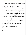1 2 3 The Bureau and Defendants agree to entry of this Stipulated Final Judgment and Order (Order), without adjudication of any issue of fact or law, to settle and resolve all matters in dispute arising from the conduct alleged in the Complaint.

18

19

20

**THEREFORE, it is ORDERED:**

### **FINDINGS**

1. This Court has jurisdiction over the parties and the subject matter of this action.

2. Defendants neither admit nor deny the allegations in the Complaint, except as specified in this Order. For purposes of this Order, Defendants admit the facts necessary to establish the Court's jurisdiction over them and the subject matter of this action.

3. Defendants waive all rights to seek judicial review or otherwise challenge or contest the validity of this Order and any claim they may have under the Equal Access to Justice Act, 28 U.S.C. § 2412, concerning the prosecution of this action to the date of this Order. Each Party agrees to bear its own costs and expenses, including, without limitation, attorneys' fees. THEREFORE, it is ORDERED:<br>
FINDINGS<br>
1. This Court has jurisdiction over the parties and the subject matter of the<br>
netion.<br>
2. Defendants neither admit nor deny the allegations in the Complaint, ex<br>
1. Defendants neither

Entry of this Order is in the public interest.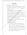|                | Case 3:20-cv-01750-GPC-KSC Document 5-1 Filed 10/15/20 PageID.31 Page 4 of 24       |
|----------------|-------------------------------------------------------------------------------------|
|                |                                                                                     |
| $\mathbf{1}$   | <b>DEFINITIONS</b>                                                                  |
| $\overline{2}$ | 5.<br>The following definitions apply to this Order:                                |
| 3              | a. "2015 Order" means the administrative order issued to Encore Capital,            |
| 4              | Midland, MCM, and Asset, entitled <i>Encore Capital Group</i> , <i>Inc.</i> , 2015- |
| 5              | CFPB-0022 (Sept. 9, 2015).                                                          |
| 6              | b. "Affected Consumers" means the 14 consumers identified in                        |
| 7              | Supplemental Appendix I provided to the Bureau on April 22, 2019 for                |
| 8              | which Encore made collection after an applicable "OALD Request."                    |
| 9              | c. "Board" means Defendants' duly-elected and acting Board of Directors.            |
| 10             | d. "Charge-off" means the treatment of a receivable balance by a Creditor           |
| 11             | as a loss or expense because payment is unlikely.                                   |
| 12             | e. "Charge-off Balance" means the amount alleged due on an account                  |
| 13             | receivable at the time of Charge-off.                                               |
| 14             | "Clearly and prominently" means:<br>f.                                              |
| 15             | as to written information, written in a type size and location                      |
| 16             | sufficient for an ordinary Consumer to read and comprehend it,                      |
| 17             | and disclosed in a manner that would be easily recognizable and                     |
| 18             | understandable in language and syntax to an ordinary Consumer. If                   |
| 19             | the information is contained in a multi-page print document, the                    |
| 20             | disclosure appears on the first page and                                            |
|                |                                                                                     |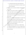1

2

3

4

5

6

7

8

9

10

11

12

13

14

15

16

17

18

19

| ii. as to information presented orally, spoken and disclosed in a            |
|------------------------------------------------------------------------------|
| volume, cadence, and syntax sufficient for an ordinary Consumer              |
| to hear and comprehend.                                                      |
| g. "Consumer" means any natural person obligated or allegedly obligated      |
| to pay any Debt.                                                             |
| h. "Creditor" means any person who offers or extends credit creating a       |
| Debt or to whom a Debt is owed, but such term does not include any           |
| person to the extent that that person receives an assignment or transfer of  |
| a debt in default solely for the purpose of facilitating collection of such  |
| Debt for another.                                                            |
| i. "Debt" means any obligation or alleged obligation of a Consumer to pay    |
| money arising out of a transaction in which the money, property,             |
| insurance, or services that are the subject of the transaction are primarily |
| for personal, family, or household purposes, whether or not such             |
| obligation has been reduced to judgment.                                     |
| 'Defendants" means Encore Capital Group, Inc.; Midland Funding,              |
| LLC; Midland Credit Management, Inc.; and Asset Acceptance Capital           |
| Corp., individually, collectively or in any combination, and any of their    |
| successors and assigns.                                                      |
|                                                                              |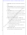| 1               |
|-----------------|
| 2               |
| 3               |
| 4               |
| 5               |
| 6               |
| $\overline{7}$  |
| 8               |
| 9               |
| 10              |
| 11              |
| $\overline{12}$ |
|                 |
| 13              |
| 14              |
| $\overline{15}$ |
| 16              |
| 17              |
| 18              |
| 19              |

- k. "**Effective Date**" means the date on which this Order is entered by the Court.
- l. "**Enforcement Director**" means the Assistant Director of the Office of Enforcement for the Bureau of Consumer Financial Protection, or his or her delegee.
- m. "**Legal Collection**" means any collection efforts made by any internal legal department or a third-party law firm to collect a Debt owed or allegedly owed to Defendants, including but not limited to sending letters on law firm letterhead and filing Debt-collection lawsuits, but does not include any post-judgment collection efforts. Enforcement for the Bureau of Consumer Financial Protection or 1<br>
her delegee.<br>
m. "Legal Collection" means any collection efforts hade by any inter<br>
legal department or a third-party law firm to collect a Debt owed or<br>
al

### n. "**Original Account-Level Documentation**" or "**OALD**" means:

- i. any documentation that a Creditor or that Creditor's agent (such as a servicer) provided to a Consumer about a Debt;
- ii. a complete transactional history of a Debt, created by a Creditor or
	- that Creditor's agent (such as a servicer); or
- iii. a copy of a judgment, awarded to a Creditor or entered on or before the Effective Date.
- o. "**Related Consumer Action**" means a private action by or on behalf of one or more Consumers or an enforcement action by another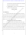|                | Case 3:20-cv-01750-GPC-KSC Document 5-1 Filed 10/15/20 PageID.34 Page 7 of 24                |
|----------------|----------------------------------------------------------------------------------------------|
| 1              | governmental agency brought against Defendants based on substantially                        |
| $\overline{2}$ | the same facts as described in the Complaint.                                                |
| 3              | "Time-Barred Debt" is a debt that is beyond an applicable statute of<br>p.                   |
| 4              | limitations for a Debt-collection lawsuit.                                                   |
| 5              | <b>CONDUCT RELIEF</b>                                                                        |
| 6              | I                                                                                            |
| 7              | IT IS ORDERED that:                                                                          |
| 8              | Defendants and their officers, agents, servants, employees, and attorneys,<br>6.             |
| 9              | and all other persons in active concert or participation with them who have actual notice    |
| 10             | of this Order, whether acting directly or indirectly, may not violate §§ 1031 and 1036 of    |
| 11             | the CFPA, 12 U.S.C. §§ 5531 and 5536, or § 807, 807(2)(A), 807(5), and 807(1) of the         |
| 12             | FDCPA, 15 U.S.C. § 1692e, 1692e(2)(A), (5), (10).                                            |
| 13             | <b>Prohibition on Failing to Disclose Known Possible Fees</b>                                |
| 14             | For 5 years after the Effective Date, Defendants and their officers, agents,<br>7.           |
| 15             | servants, employees, and attorneys, and all other persons in active concert or participation |
| 16             | with them who have actual notice of this Order, whether acting directly or indirectly, may   |
| 17             | not violate § 1036(a)(1)(B) of the CFPA, 12 U.S.C. §§ 5536(a)(1)(B), by knowingly or         |
| 18             | recklessly using a payment processor that processes Consumers' payments in another           |
| 19             | country without disclosing to Consumers the potential that Consumers may be subject to       |
| 20             |                                                                                              |
|                |                                                                                              |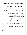1 2 fees as a result and that Consumers can avoid those fees by using alternative payment methods.

| $\overline{3}$ | <b>Extension of Certain of the 2015 Order's Conduct Provisions</b>                           |
|----------------|----------------------------------------------------------------------------------------------|
| 4              | 8.<br>For 5 years after the Effective Date, Defendants and their officers, agents,           |
| 5              | servants, employees, and attorneys, and all other persons in active concert or participation |
| 6              | with them, who have actual notice of this Order, whether acting directly or indirectly, are  |
| 7              | hereby restrained and enjoined from:                                                         |
| 8              | a. initiating a Legal Collection lawsuit unless in possession of the                         |
| 9              | following:                                                                                   |
| 10             | Original Account-Level Documentation reflecting, at a minimum:<br>$\mathbf{i}$ .             |
| 11             | the Consumer's name; the last four digits of the account number                              |
| 12             | associated with the Debt at the time of Charge-off; and the claimed                          |
| 13             | amount, prior to any post Charge-off payments (unless the claimed                            |
| 14             | amount is higher than the Charge-off Balance, in which case                                  |
| 15             | Defendants must possess (i) Original Account-Level                                           |
| 16             | Documentation reflecting the Charge-off Balance and (ii) an                                  |
| 17             | explanation of how the claimed amount was calculated and why                                 |
| 18             | such increase is authorized by the agreement creating the Debt or                            |
| 19             | permitted by law);                                                                           |
| 20             |                                                                                              |
|                |                                                                                              |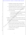| $\mathbf{1}$   | ii. if Defendants are suing under a breach of contract theory, the         |
|----------------|----------------------------------------------------------------------------|
| $\overline{2}$ | contractual terms and conditions applicable to the Debt;                   |
| 3              | iii. a chronological listing of the names of all prior owners of the Debt  |
| $\overline{4}$ | and the date of each transfer of ownership of the Debt, beginning          |
| 5              | with the name of the Creditor at the time of Charge-off; and               |
| 6              | iv. any one of the following:                                              |
| 7              | 1. a document signed by the Consumer evidencing the opening                |
| 8              | of the account forming the basis for the Debt; or                          |
| 9              | 2. OALD reflecting a purchase, payment, or actual use of the               |
| 10             | account by the Consumer.                                                   |
| 11             | b. engaging in any Legal Collection without providing the Consumer with    |
| 12             | certain information about the Debt, unless previously provided, including  |
| 13             | but not limited to, the following information:                             |
| 14             | i. the name of the Creditor at the time of Charge-off, including the       |
| 15             | name under which the Creditor did business with the Consumer;              |
| 16             | the last four digits of the account number associated with the Debt<br>11. |
| 17             | at the time of the Consumer's last monthly account statement, or, if       |
| 18             | not available, at the time of Charge-off;                                  |
| 19             | iii. the Charge-off Balance;                                               |
| 20             |                                                                            |
|                |                                                                            |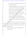iv. Defendants' method of calculating any amount claimed in excess of the Charge-off Balance; and

3 4 5 6 7 8 9 10 11 12 13 v. a statement that, upon Defendants' receipt of a written request, the Consumer will be provided with copies of the documentation referenced in Subsection (a) of this Paragraph. For any disclosure made pursuant to this provision after the Effective Date, Defendants must inform the Consumer that it will provide the requested documentation "within 30 days" of a request and "at no cost." *Provided that*, Defendants have to provide such documentation only once per year and that Defendants are not required to provide such documentation in response to a request made more than one year after Defendants have ceased collecting the Debt. Consumer will be provided with copies of the documentation<br>
referenced in Subsection (a) of this Paragraph. For any disclemate pursuant to this provision after the Effective Date,<br>
Defendants must inform the Consumer that

14 15 16 17 9. For 5 years after the Effective Date, Defendants and their officers, agents, servants, employees, and attorneys, and all other persons in active concert or participation with them who have actual notice of this Order, whether acting directly or indirectly, are hereby restrained and enjoined from:

18

19

20

1

2

a. collecting or attempting to collect any Time-Barred Debt through litigation or arbitration;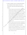1

2

3

4

5

6

7

8

9

10

11

12

13

14

15

16

17

18

19

20

b. collecting or attempting to collect any Time-Barred Debt through any means, including but not limited to telephone calls and written communications, without clearly and prominently disclosing to the Consumer:

i. for those Consumer accounts where the Debt is Time-Barred and generally cannot be included in a Consumer report under the provisions of the Fair Credit Reporting Act, 15 U.S.C. § 1681c(a), but can be collected through other means pursuant to applicable state law, Defendants will include the following statement: "The law limits how long you can be sued on a debt and how long a debt can appear on your credit report. Due to the age of this debt, we will not sue you for it or report payment or non-payment of it to a credit bureau"; and From an expected to the Fair Credit Reporting Act, 15 U.S.C. § 168<br>The provisions of the Fair Credit Reporting Act, 15 U.S.C. § 168<br>but can be collected through other means pursuant to applica<br>state law, Defendants will in

ii. for those Consumer accounts where the Debt is Time-Barred but can be collected through other means pursuant to applicable state law and may be included in a Consumer report under the provisions of the Fair Credit Reporting Act, 15 U.S.C. § 1681c(a), Defendants will include the following statement: "The law limits how long you can be sued on a debt. Because of the age of your debt, we will not sue you for it."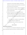| $\mathbf 1$    | Provided, however, that with regard to telephonic communications,                   |
|----------------|-------------------------------------------------------------------------------------|
| $\overline{2}$ | Defendants are not required to make either disclosure to any individual             |
| 3              | person more than once per 30-day period; or                                         |
| 4              | c. making any representation or statement, or taking any other action that          |
| 5              | interferes with, detracts from, contradicts, or otherwise undermines the            |
| 6              | disclosures required by $\P$ 9(b).                                                  |
| 7              | d. Defendants will be deemed to have complied with the disclosure                   |
| 8              | requirements of $\P$ [ $\phi$ ] (b) and (c) if they make a disclosure to Consumers  |
| 9              | using the relevant language from a model form approved by the Bureau                |
| 10             | in any final rule issued by the Bureau under the FDCPA or a disclosure              |
| 11             | that:                                                                               |
| 12             | i. is required by the laws or regulations of a specific jurisdiction;               |
| 13             | ii. complies with those laws or regulations; and                                    |
| 14             | iii. is substantially similar to the disclosure required by $\P$ 9(b).              |
| 15             | $\mathbf{I}$                                                                        |
| 16             | <b>Role of the Board</b>                                                            |
| 17             | <b>IT IS</b><br><b>HER ORDERED that:</b>                                            |
| 18             | The Board must review all submissions (including plans, reports, programs,<br>10.   |
| 19             | policies, and procedures) required by this Order prior to submission to the Bureau. |
| 20             |                                                                                     |
|                |                                                                                     |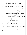| $\mathbf{1}$   | The Board will have the ultimate responsibility for proper and sound<br>11.           |  |
|----------------|---------------------------------------------------------------------------------------|--|
| $\overline{2}$ | management of Defendants and for ensuring that Defendants comply with the laws that   |  |
| 3              | the Bureau enforces, including Federal consumer-financial laws and this Order.        |  |
| $\overline{4}$ | In each instance that this Order requires the Board to ensure adherence to, or<br>12. |  |
| 5              | perform certain obligations of Defendants, the Board must:                            |  |
| 6              | a. authorize whatever actions are necessary for Defendants to fully comply            |  |
| 7              | with this Order;                                                                      |  |
| 8              | b. require timely reporting by management to the Board on the status of               |  |
| 9              | compliance obligations; and                                                           |  |
| 10             | c. require timely and appropriate corrective action to remedy any material            |  |
| 11             | non-compliance with any failures to comply with Board directives related              |  |
| 12             | to this Section.                                                                      |  |
| 13             | <b>MONETARY PROVISIONS</b>                                                            |  |
| 14             | Ш                                                                                     |  |
| 15             | <b>Order to Pay Redress</b>                                                           |  |
| 16             | IT IS FURTHER ORDERED that:                                                           |  |
| 17             | A judgment for monetary relief is entered in favor of the Bureau and against<br>13.   |  |
| 18             | Defendants in the amount of \$78,308.81, which includes:                              |  |
| 19             | a. \$69,377 in redress that Defendants already voluntarily provided; and              |  |
| 20             |                                                                                       |  |
|                |                                                                                       |  |
|                | 12                                                                                    |  |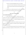1 2 3 4 5 6 7 8 9 10 11 12 13 14 15 16 17 18 19 20 b. \$8,931.81 in redress that Defendants must pay to any Affected Consumers in the amount collected from an Affected Consumer after that Affected Consumer requested OALD but before Defendants provided OALD. 14. Defendants may not condition the payment of any redress to any Affected Consumer under this Order on that Affected Consumer waiving any right. **IV Order to Pay Civil Money Penalty IT IS FURTHER ORDERED** that: 15. Under § 1055(c) of the CFPA, 12 U.S.C. § 5565(c), by reason of the violations of law alleged in the Complaint and continuing until the Effective Date and taking into account the factors in 12 U.S.C. § 5565(c)(3), Defendants must pay a civil money penalty of \$15 million to the Bureau. 16. Within 10 days of the Effective Date, Defendants must pay the civil money penalty by wire transfer to the Bureau or to the Bureau's agent in compliance with the Bureau's wiring instructions. 17. The civil money penalty paid under this Order will be deposited in the Civil Penalty Fund of the Bureau as required by  $\S$  1017(d) of the CFPA, 12 U.S.C.  $\S$  5497(d). OALD.<br>
14. Defendants may not condition the payment of any redress to any Affectonsumer under this Order on that Affected Consumer waiving any right.<br>
IV<br>
15. Under § 1055(c) of the CFPA, 12 U.S.C. § 5565(c), by reason of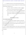Ш

| $\mathbf 1$    | Defendants must treat the civil money penalty paid under this Order as a<br>18.             |
|----------------|---------------------------------------------------------------------------------------------|
| $\overline{2}$ | penalty paid to the government for all purposes. Regardless of how the Bureau ultimately    |
| 3              | uses those funds, Defendants may not:                                                       |
| 4              | a. claim, assert, or apply for a tax deduction, tax credit, or any other tax                |
| 5              | benefit for any civil money penalty paid under this Order or                                |
| 6              | b. seek or accept, directly or indirectly, reimbursement or indemnification                 |
| 7              | from any source, including but not limited to payment made under any                        |
| 8              | insurance policy, with regard to any civil money penalty paid under this                    |
| 9              | Order.                                                                                      |
| 10             |                                                                                             |
| 11             | <b>Additional Monetary Provisions</b>                                                       |
| 12             | IT IS FURTHER ORDERED that:                                                                 |
| 13             | In the event of any default on Defendants' obligations to make payment<br>19.               |
| 14             | under this Order, interest, computed under 28 U.S.C. § 1961, as amended, will accrue on     |
| 15             | any outstanding amounts not paid from the date of default to the date of payment, and       |
| 16             | will immediately become due and payable.                                                    |
| 17             | Defendants relinquish all dominion, control, and title to the funds paid under<br>20.       |
| 18             | this Order to the fullest extent permitted by law, and no part of the funds may be returned |
| 19             | to Defendants.                                                                              |
| 20             |                                                                                             |
|                |                                                                                             |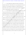1 2 3 4 5 21. The facts alleged in the Complaint will be taken as true and be given collateral estoppel effect, without further proof, in any proceeding based on the entry of this Order, or in any subsequent civil litigation by or on behalf of the Bureau in a proceeding to enforce its rights to any payment or monetary judgment under this Order, such as a nondischargeability complaint in any bankruptcy case.

- 6 7 8 9 22. The facts alleged in the Complaint establish all elements necessary to sustain an action by the Bureau under to  $\S$  523(a)(2)(A) of the Bankruptcy Code, 11 U.S.C. § 523(a)(2)(A), and for such purposes this Order will have collateral estoppel effect against each Defendant, even in such Defendant's capacity as debtor-in-possession.
- 10 11 12 13 14 15 16 17 18 19 20 23. Under 31 U.S.C. § 7701, Defendants, unless they already have done so, must furnish to the Bureau their taxpayer-identification numbers, which may be used for purposes of collecting and reporting on any delinquent amount arising out of this Order. 24. Within 30 days of the entry of a final judgment, order, or settlement in a Related Consumer Action under this Order, Defendants must notify the Enforcement Director of the final judgment, order, or settlement in writing. That notification must indicate the amount of redress, if any, that Defendants paid or are required to pay to Consumers and describe the Consumers or classes of Consumers to whom that redress has been or will be paid. To preserve the deterrent effect of the civil money penalty in any Related Consumer Action, Defendants may not argue that Defendants are entitled to, nor may Defendants benefit by, any offset or reduction of any monetary remedies proceeding to enforce its rights to any payment or monetary judgment under this O<br>
uch as a nondischargeability complaint in any bankruptcy case.<br>
22. The facts alleged in the Complaint establish all elements necessary to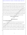1 2 3 4 5 6 7 8 9 10 imposed in the Related Consumer Action because of the civil money penalty paid in this action or because of any payment that the Bureau makes from the Civil Penalty Fund. If the court in any Related Consumer Action offsets or otherwise reduces the amount of compensatory monetary remedies imposed against Defendants based on the civil money penalty paid in this action or based on any payment that the Bureau makes from the Civil Penalty Fund, Defendants must, within 30 days after entry of a final order granting such offset or reduction, notify the Bureau and pay the amount of the offset or reduction to the U.S. Treasury. Such a payment will not be considered an additional civil money penalty and will not change the amount of the civil money penalty imposed in this action. **COMPLIANCE PROVISIONS** compensatory monetary remedies imposed against Defendants based on the civil m<br>
From alty paid in this action or based on any payment that the Bureau makes from the<br>
Penalty Fund, Defendants must, within 30 days after entr

# 11

## 12

13

### **Reporting Requirements**

**VI**

### **IT IS FURTHER ORDERED** that:

14 15 16 17 18 19 25. Defendants must notify the Bureau of any development that may affect compliance obligations arising under this Order, including but not limited to, a dissolution, assignment, sale, merger, or other action that would result in the emergence of a successor company; the creation or dissolution of a subsidiary, parent, or affiliate that engages in any acts or practices subject to this Order; the filing of any bankruptcy or insolvency proceeding by or against any Defendants; or a change in any Defendants'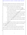| $\mathbf{1}$   | name or address. Defendants must provide this notice, if practicable, at least 30 days     |
|----------------|--------------------------------------------------------------------------------------------|
| $\overline{2}$ | before the development, but in any case no later than 14 days after the development.       |
| 3              | 26.<br>Within 7 days of the Effective Date, each Defendant must:                           |
| 4              | a. designate to the Bureau at least one telephone number and email,                        |
| 5              | physical, and postal address as points of contact, which the Bureau may                    |
| 6              | use to communicate with Defendant;                                                         |
| 7              | b. identify to the Bureau all businesses that do business in the United States             |
| 8              | for which any Defendant is the majority owner, or that any Defendant                       |
| 9              | directly or indirectly controls, by all of their names, telephone numbers,                 |
| 10             | and physical, postal, email, and Internet addresses; and                                   |
| 11             | c. describe to the Bureau the activities of each such business, including the              |
| 12             | products and services offered, and the means of advertising, marketing,                    |
| 13             | and sales.                                                                                 |
| 14             | Defendants must report to the Bureau any change in the information required<br>27.         |
| 15             | to be submitted under $\P$ 26 at least 30 days before the change or as soon as practicable |
| 16             | after learning about the change, whichever is sooner.                                      |
| 17             | Within 90 days of the Effective Date, again one year after the Effective<br>28.            |
| 18             | Date, and annually for 4 years thereafter, Defendants must submit to the Bureau's          |
| 19             | Enforcement Director an accurate written compliance progress report sworn to under         |
| 20             |                                                                                            |
|                |                                                                                            |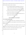1 2 penalty of perjury (Compliance Report) that has been approved by the Board, sworn to under the penalty of perjury, which, at a minimum:

| 3  | a. lists each applicable paragraph and subparagraph of the Order and                   |
|----|----------------------------------------------------------------------------------------|
| 4  | describes in detail the manner and form in which Defendants have                       |
| 5  | complied with each such paragraph and subparagraph of this Order;                      |
| 6  | b. provides proof of the provision of full redress to Affected Consumers,              |
| 7  | unless previously submitted to the Bureau; and                                         |
| 8  | c. attaches a copy of each Order Acknowledgment obtained under § VII,                  |
| 9  | unless previously submitted to the Bureau.                                             |
| 10 | VIJ                                                                                    |
| 11 | <b>Order Distribution and Acknowledgment</b>                                           |
| 12 | IT IS FURTHER ORDERED that:                                                            |
| 13 | Within 7 days of the Effective Date, each Defendant must submit to the<br>29.          |
| 14 | Bureau's Enforcement Director an acknowledgment of receipt of this Order, sworn under  |
| 15 | penalty of perjury.                                                                    |
| 16 | Within 30 days of the Effective Date, Defendants must deliver a copy of this<br>30.    |
| 17 | Order to each of its Board members and executive officers, as well as to any managers, |
| 18 | employees, service providers, or other agents and representatives who have             |
| 19 | responsibilities related to the subject matter of the Order.                           |
| 20 |                                                                                        |
|    |                                                                                        |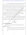| $\mathbf{1}$   | For 5 years from the Effective Date, Defendants must deliver a copy of this<br>31.            |
|----------------|-----------------------------------------------------------------------------------------------|
| $\overline{2}$ | Order to any business entity resulting from any change in structure referred to in $\S$ VI,   |
| 3              | any future Board members and executive officers, as well as to any managers, employees,       |
| $\overline{4}$ | service providers, or other agents and representatives who will have responsibilities         |
| 5              | related to the subject matter of the Order before they assume their responsibilities.         |
| 6              | Defendants must secure a signed and dated statement acknowledging receipt<br>32.              |
| $\overline{7}$ | of a copy of this Order, ensuring that any electronic signatures comply with the              |
| 8              | requirements of the E-Sign Act, 15 U.S.C. § 7001 et seq., within 45 days of delivery,         |
| 9              | from all persons receiving a copy of this Order under this Section.                           |
| 10             | Should any Defendant seek to transfer or assign all or part of its operations<br>33.          |
| 11             | that are subject to this Order, it must, as a condition of sale, obtain the written agreement |
| 12             | of the transferee or assignee to comply with all applicable provisions of this Order.         |
| 13             | VIII                                                                                          |
| 14             | Recordkeeping                                                                                 |
| 15             | <b>RTHER ORDERED that:</b>                                                                    |
| 16             | Defendants must create, for at least 5 years from the Effective Date, the<br>34.              |
| 17             | following business records:                                                                   |
| 18             | a. all documents and records necessary to demonstrate full compliance with                    |
| 19             | each provision of this Order, including all submissions to the Bureau;                        |
| 20             | and                                                                                           |
|                |                                                                                               |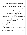1 2 3 4 5 6 7 8 9 10 11 12 13 14 15 16 17 18 19 20 b. all documents and records pertaining to the redress described in § III above. Defendants must retain these documents for at least 5 years after creation and make them available to the Bureau upon the Bureau's request. **IX Notices IT IS FURTHER ORDERED** that: 35. Unless otherwise directed in writing by the Bureau, Defendants must provide all submissions, requests, communications, or other documents relating to this Order in writing, with the subject line, "BCFP v. Encore Capital Group, Inc., et al.; Case No. 20-cv-1750," and send them by overnight courier or first-class mail to the below address and contemporaneously by email to Enforcement Compliance@cfpb.gov: Assistant Director for Enforcement Bureau of Consumer Financial Protection ATTENTION: Office of Enforcement 1700 G Street, N.W. Washington D.C. 20552 36. Encore may seek a modification to non-material requirements of this Order (*e.g.*, reasonable extensions of time and changes to reporting requirements) by submitting a written request to the Enforcement Director. The Enforcement Director may, in his or her discretion, modify any non-material requirements of this Order (*e.g.*, reasonable extensions of time and changes to reporting requirements) if he or she determines good FROM MORET UNITY INCREDUCED AT THE VICE AT A CHANGE TO SUPPOSE A CHANGE THE SUPPOSE AT A CHANGE THE SUPPOSE CONTROLLED THE SUPPOSE CONTROLLED INCREDUCED THE VICE AT A SOLUTION OF A CHANGE THE SUPPOSE CONTROLLED AND MORET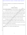1 2 cause justifies the modification. Any such modification by the Enforcement Director must be in writing.

### **X**

### **Compliance Monitoring**

8 9 10 11 12 13 14 15 **IT IS FURTHER ORDERED** that, to monitor Defendants' compliance with this Order: 37. Within 14 days of receipt of a written request from the Bureau, Defendants must submit additional compliance reports or other requested non-privileged information related to the requirements of this Order, which must be sworn under penalty of perjury; provide sworn testimony related to the requirements of this Order and Defendants' compliance with those requirements; or produce non-privileged documents related to the requirements of this Order and Defendants' compliance with those requirements. 38. Defendants must permit Bureau representatives to interview about the requirements of this Order and Defendants' compliance with those requirements any employee or other person affiliated with Defendants who has agreed to such an interview. The person interviewed may have counsel present. From article at GetOutOfDebt.org

39. Nothing in this Order will limit the Bureau's lawful use of civil investigative demands under 12 C.F.R. § 1080.6 or other compulsory process.

16

17

18

19

20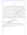# 1 2

**XI**

### **Release**

3 4 5 6 7 8 9 10 11 12 13 14 15 16 17 18 40. The Bureau releases and discharges Defendants from all potential liability for violations of law that the Bureau has or might have asserted based on the practices described in the Complaint, to the extent such conduct occurred before the Effective Date and the Bureau knows about it as of the Effective Date. The Bureau may use the practices described in the Complaint in future enforcement actions against Defendants and their affiliates, including, without limitation, to establish a pattern or practice of violations or the continuation of a pattern or practice of violations or to calculate the amount of any penalty. This release does not preclude or affect any right of the Bureau to determine and ensure compliance with this Order, or to seek penalties for any violations of this Order. **XII Retention of Jurisdiction IT IS FURTHER ORDERED** that: 41. The Court will retain jurisdiction of this matter for the purposes of construction, modification (including any request by any party to modify the conduct prohibitions), and enforcement of this Order. for violations of law that the Bureau has or might have asserted based on the practifies<br>eiseribed in the Complaint, to the extent such conduct occurred before the Effective<br>and the Bureau knows about it as of the Effectiv

20